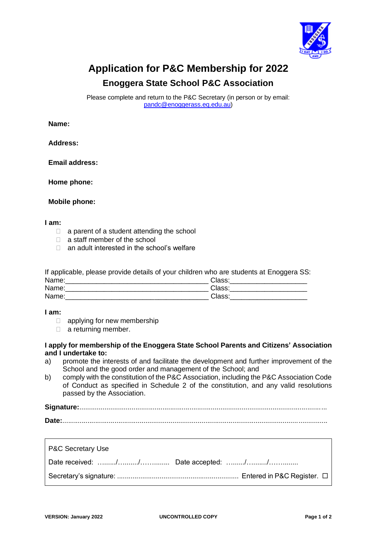

# **Application for P&C Membership for 2022**

## **Enoggera State School P&C Association**

Please complete and return to the P&C Secretary (in person or by email: [pandc@enoggerass.eq.edu.au\)](mailto:pandc@enoggerass.eq.edu.au)

### **Name:**

**Address:**

**Email address:**

**Home phone:**

**Mobile phone:**

#### **I am:**

- $\Box$  a parent of a student attending the school
- $\Box$  a staff member of the school
- □ an adult interested in the school's welfare

If applicable, please provide details of your children who are students at Enoggera SS:

| Name: | Class: |
|-------|--------|
| Name: | Class: |
| Name: | Class: |

#### **I am:**

- $\Box$  applying for new membership
- $\Box$  a returning member.

#### **I apply for membership of the Enoggera State School Parents and Citizens' Association and I undertake to:**

- a) promote the interests of and facilitate the development and further improvement of the School and the good order and management of the School; and
- b) comply with the constitution of the P&C Association, including the P&C Association Code of Conduct as specified in Schedule 2 of the constitution, and any valid resolutions passed by the Association.

**Signature:**................................................................................................................................

| P&C Secretary Use |  |
|-------------------|--|
|                   |  |
|                   |  |